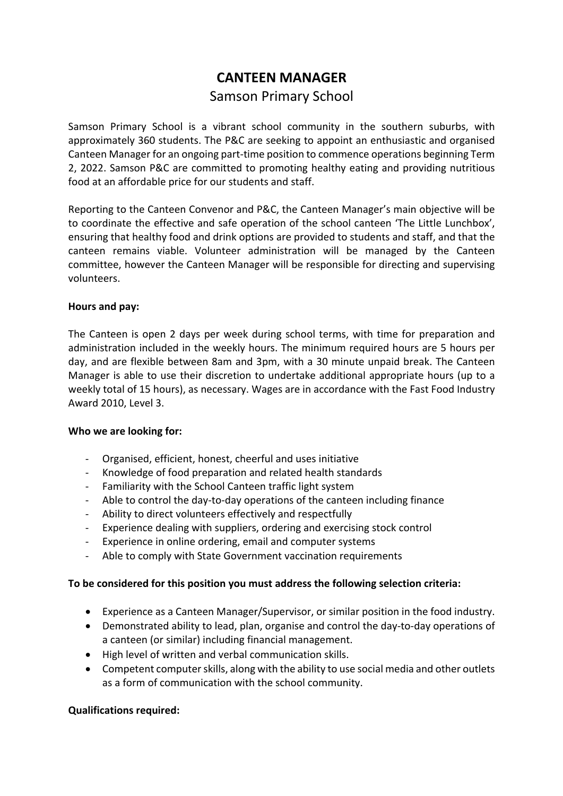# **CANTEEN MANAGER** Samson Primary School

Samson Primary School is a vibrant school community in the southern suburbs, with approximately 360 students. The P&C are seeking to appoint an enthusiastic and organised Canteen Manager for an ongoing part-time position to commence operations beginning Term 2, 2022. Samson P&C are committed to promoting healthy eating and providing nutritious food at an affordable price for our students and staff.

Reporting to the Canteen Convenor and P&C, the Canteen Manager's main objective will be to coordinate the effective and safe operation of the school canteen 'The Little Lunchbox', ensuring that healthy food and drink options are provided to students and staff, and that the canteen remains viable. Volunteer administration will be managed by the Canteen committee, however the Canteen Manager will be responsible for directing and supervising volunteers.

### **Hours and pay:**

The Canteen is open 2 days per week during school terms, with time for preparation and administration included in the weekly hours. The minimum required hours are 5 hours per day, and are flexible between 8am and 3pm, with a 30 minute unpaid break. The Canteen Manager is able to use their discretion to undertake additional appropriate hours (up to a weekly total of 15 hours), as necessary. Wages are in accordance with the Fast Food Industry Award 2010, Level 3.

#### **Who we are looking for:**

- Organised, efficient, honest, cheerful and uses initiative
- Knowledge of food preparation and related health standards
- Familiarity with the School Canteen traffic light system
- Able to control the day-to-day operations of the canteen including finance
- Ability to direct volunteers effectively and respectfully
- Experience dealing with suppliers, ordering and exercising stock control
- Experience in online ordering, email and computer systems
- Able to comply with State Government vaccination requirements

# **To be considered for this position you must address the following selection criteria:**

- Experience as a Canteen Manager/Supervisor, or similar position in the food industry.
- Demonstrated ability to lead, plan, organise and control the day-to-day operations of a canteen (or similar) including financial management.
- High level of written and verbal communication skills.
- Competent computer skills, along with the ability to use social media and other outlets as a form of communication with the school community.

# **Qualifications required:**